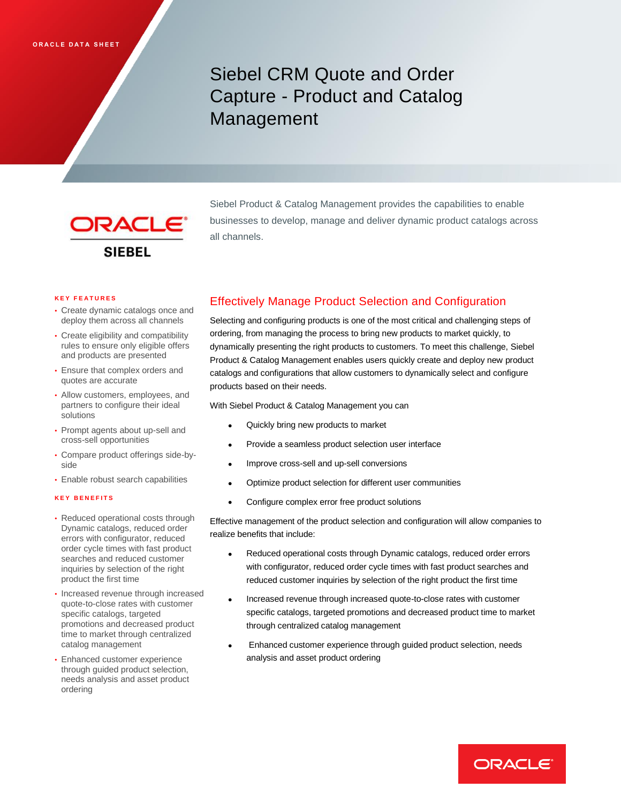Siebel CRM Quote and Order Capture - Product and Catalog Management



Siebel Product & Catalog Management provides the capabilities to enable businesses to develop, manage and deliver dynamic product catalogs across all channels.

#### **K E Y F E A T U R E S**

- Create dynamic catalogs once and deploy them across all channels
- Create eligibility and compatibility rules to ensure only eligible offers and products are presented
- Ensure that complex orders and quotes are accurate
- Allow customers, employees, and partners to configure their ideal solutions
- Prompt agents about up-sell and cross-sell opportunities
- Compare product offerings side-byside
- Enable robust search capabilities

#### **K E Y B E N E F I T S**

- Reduced operational costs through Dynamic catalogs, reduced order errors with configurator, reduced order cycle times with fast product searches and reduced customer inquiries by selection of the right product the first time
- Increased revenue through increased quote-to-close rates with customer specific catalogs, targeted promotions and decreased product time to market through centralized catalog management
- Enhanced customer experience through guided product selection, needs analysis and asset product ordering

# Effectively Manage Product Selection and Configuration

Selecting and configuring products is one of the most critical and challenging steps of ordering, from managing the process to bring new products to market quickly, to dynamically presenting the right products to customers. To meet this challenge, Siebel Product & Catalog Management enables users quickly create and deploy new product catalogs and configurations that allow customers to dynamically select and configure products based on their needs.

With Siebel Product & Catalog Management you can

- Quickly bring new products to market
- Provide a seamless product selection user interface
- Improve cross-sell and up-sell conversions
- Optimize product selection for different user communities
- Configure complex error free product solutions

Effective management of the product selection and configuration will allow companies to realize benefits that include:

- Reduced operational costs through Dynamic catalogs, reduced order errors with configurator, reduced order cycle times with fast product searches and reduced customer inquiries by selection of the right product the first time
- Increased revenue through increased quote-to-close rates with customer specific catalogs, targeted promotions and decreased product time to market through centralized catalog management
- Enhanced customer experience through guided product selection, needs analysis and asset product ordering

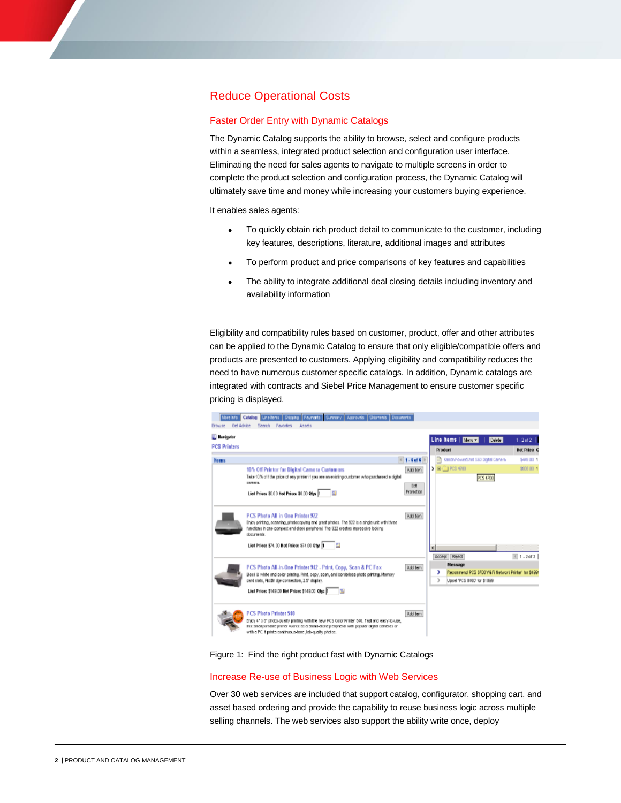# Reduce Operational Costs

### Faster Order Entry with Dynamic Catalogs

The Dynamic Catalog supports the ability to browse, select and configure products within a seamless, integrated product selection and configuration user interface. Eliminating the need for sales agents to navigate to multiple screens in order to complete the product selection and configuration process, the Dynamic Catalog will ultimately save time and money while increasing your customers buying experience.

It enables sales agents:

- To quickly obtain rich product detail to communicate to the customer, including key features, descriptions, literature, additional images and attributes
- To perform product and price comparisons of key features and capabilities
- The ability to integrate additional deal closing details including inventory and availability information

Eligibility and compatibility rules based on customer, product, offer and other attributes can be applied to the Dynamic Catalog to ensure that only eligible/compatible offers and products are presented to customers. Applying eligibility and compatibility reduces the need to have numerous customer specific catalogs. In addition, Dynamic catalogs are integrated with contracts and Siebel Price Management to ensure customer specific pricing is displayed.



#### Figure 1: Find the right product fast with Dynamic Catalogs

#### Increase Re-use of Business Logic with Web Services

Over 30 web services are included that support catalog, configurator, shopping cart, and asset based ordering and provide the capability to reuse business logic across multiple selling channels. The web services also support the ability write once, deploy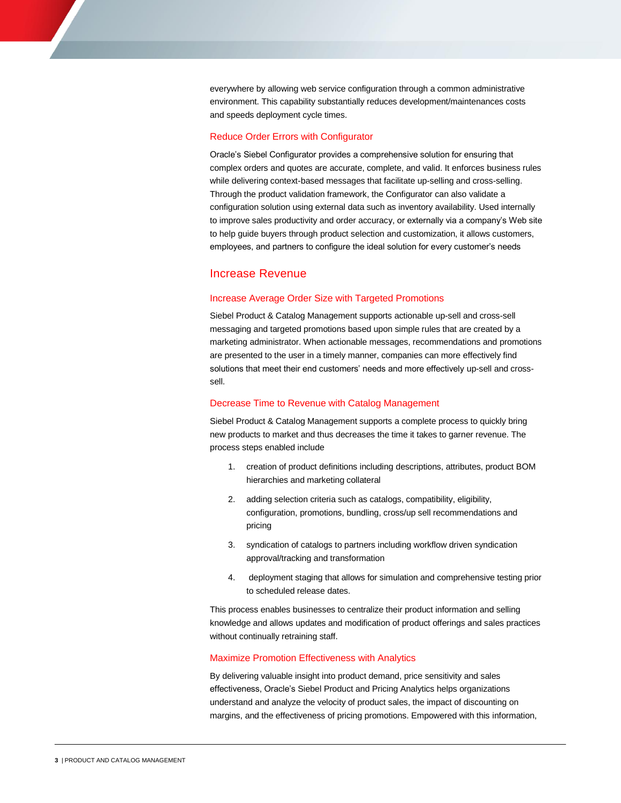everywhere by allowing web service configuration through a common administrative environment. This capability substantially reduces development/maintenances costs and speeds deployment cycle times.

## Reduce Order Errors with Configurator

Oracle's Siebel Configurator provides a comprehensive solution for ensuring that complex orders and quotes are accurate, complete, and valid. It enforces business rules while delivering context-based messages that facilitate up-selling and cross-selling. Through the product validation framework, the Configurator can also validate a configuration solution using external data such as inventory availability. Used internally to improve sales productivity and order accuracy, or externally via a company's Web site to help guide buyers through product selection and customization, it allows customers, employees, and partners to configure the ideal solution for every customer's needs

# Increase Revenue

#### Increase Average Order Size with Targeted Promotions

Siebel Product & Catalog Management supports actionable up-sell and cross-sell messaging and targeted promotions based upon simple rules that are created by a marketing administrator. When actionable messages, recommendations and promotions are presented to the user in a timely manner, companies can more effectively find solutions that meet their end customers' needs and more effectively up-sell and crosssell.

#### Decrease Time to Revenue with Catalog Management

Siebel Product & Catalog Management supports a complete process to quickly bring new products to market and thus decreases the time it takes to garner revenue. The process steps enabled include

- 1. creation of product definitions including descriptions, attributes, product BOM hierarchies and marketing collateral
- 2. adding selection criteria such as catalogs, compatibility, eligibility, configuration, promotions, bundling, cross/up sell recommendations and pricing
- 3. syndication of catalogs to partners including workflow driven syndication approval/tracking and transformation
- 4. deployment staging that allows for simulation and comprehensive testing prior to scheduled release dates.

This process enables businesses to centralize their product information and selling knowledge and allows updates and modification of product offerings and sales practices without continually retraining staff.

### Maximize Promotion Effectiveness with Analytics

By delivering valuable insight into product demand, price sensitivity and sales effectiveness, Oracle's Siebel Product and Pricing Analytics helps organizations understand and analyze the velocity of product sales, the impact of discounting on margins, and the effectiveness of pricing promotions. Empowered with this information,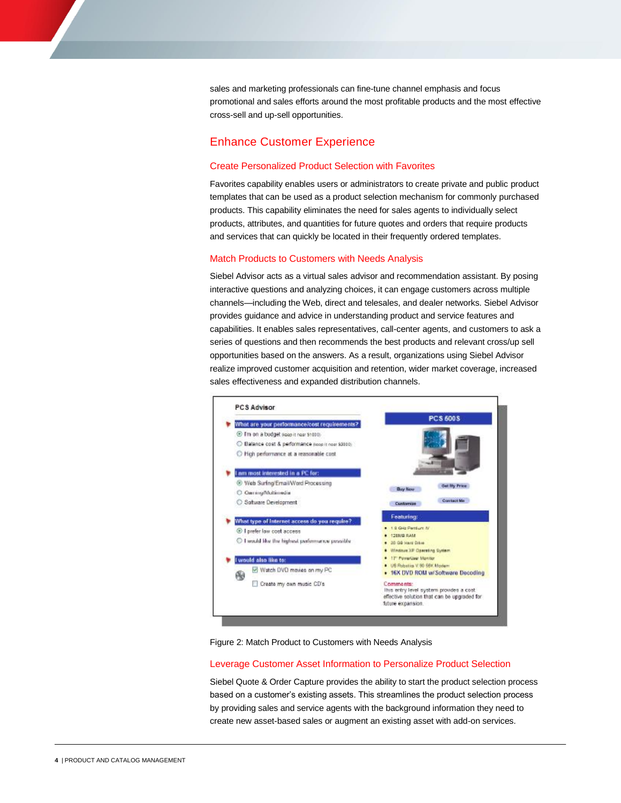sales and marketing professionals can fine-tune channel emphasis and focus promotional and sales efforts around the most profitable products and the most effective cross-sell and up-sell opportunities.

# Enhance Customer Experience

## Create Personalized Product Selection with Favorites

Favorites capability enables users or administrators to create private and public product templates that can be used as a product selection mechanism for commonly purchased products. This capability eliminates the need for sales agents to individually select products, attributes, and quantities for future quotes and orders that require products and services that can quickly be located in their frequently ordered templates.

## Match Products to Customers with Needs Analysis

Siebel Advisor acts as a virtual sales advisor and recommendation assistant. By posing interactive questions and analyzing choices, it can engage customers across multiple channels—including the Web, direct and telesales, and dealer networks. Siebel Advisor provides guidance and advice in understanding product and service features and capabilities. It enables sales representatives, call-center agents, and customers to ask a series of questions and then recommends the best products and relevant cross/up sell opportunities based on the answers. As a result, organizations using Siebel Advisor realize improved customer acquisition and retention, wider market coverage, increased sales effectiveness and expanded distribution channels.



Figure 2: Match Product to Customers with Needs Analysis

## Leverage Customer Asset Information to Personalize Product Selection

Siebel Quote & Order Capture provides the ability to start the product selection process based on a customer's existing assets. This streamlines the product selection process by providing sales and service agents with the background information they need to create new asset-based sales or augment an existing asset with add-on services.